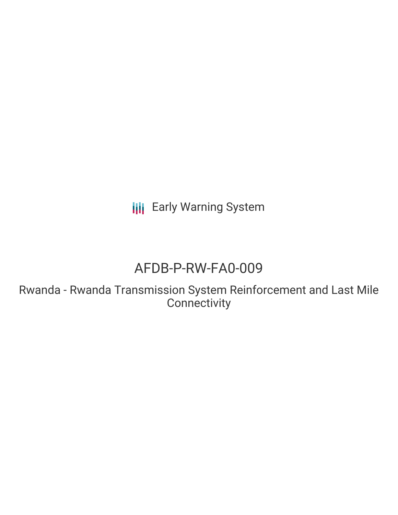**III** Early Warning System

# AFDB-P-RW-FA0-009

Rwanda - Rwanda Transmission System Reinforcement and Last Mile **Connectivity**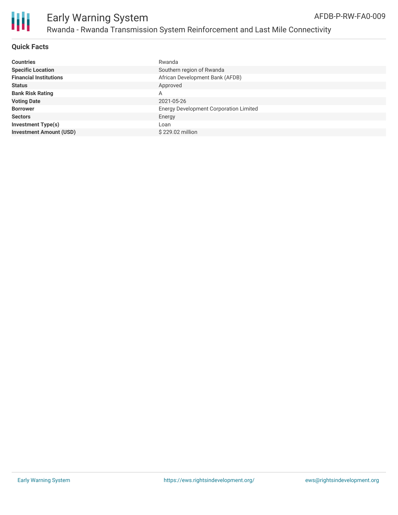

**Quick Facts**

| <b>Countries</b>               | Rwanda                                        |
|--------------------------------|-----------------------------------------------|
| <b>Specific Location</b>       | Southern region of Rwanda                     |
| <b>Financial Institutions</b>  | African Development Bank (AFDB)               |
| <b>Status</b>                  | Approved                                      |
| <b>Bank Risk Rating</b>        | A                                             |
| <b>Voting Date</b>             | 2021-05-26                                    |
| <b>Borrower</b>                | <b>Energy Development Corporation Limited</b> |
| <b>Sectors</b>                 | Energy                                        |
| <b>Investment Type(s)</b>      | Loan                                          |
| <b>Investment Amount (USD)</b> | \$229.02 million                              |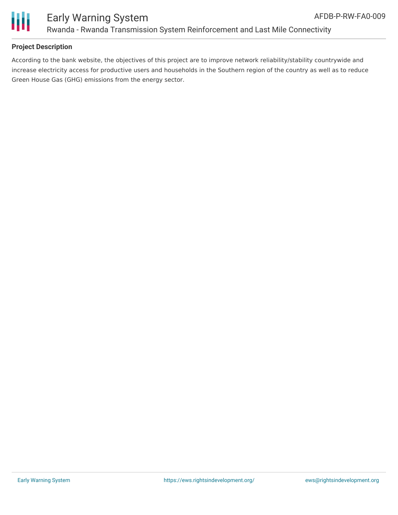



## **Project Description**

According to the bank website, the objectives of this project are to improve network reliability/stability countrywide and increase electricity access for productive users and households in the Southern region of the country as well as to reduce Green House Gas (GHG) emissions from the energy sector.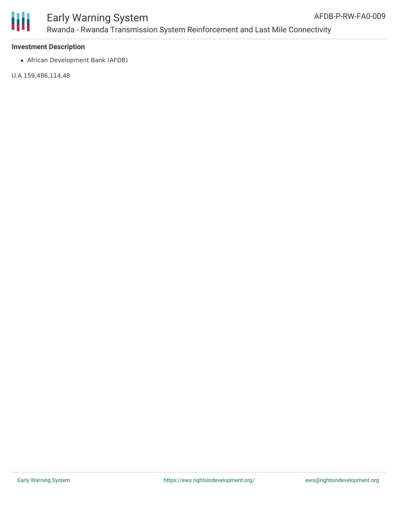

African Development Bank (AFDB)

U.A 159,486,114.48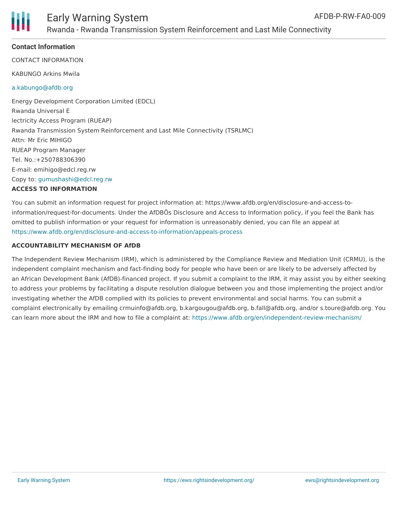### **Contact Information**

CONTACT INFORMATION

KABUNGO Arkins Mwila

#### [a.kabungo@afdb.org](mailto:a.kabungo@afdb.org)

Energy Development Corporation Limited (EDCL) Rwanda Universal E lectricity Access Program (RUEAP) Rwanda Transmission System Reinforcement and Last Mile Connectivity (TSRLMC) Attn: Mr Eric MIHIGO RUEAP Program Manager Tel. No.:+250788306390 E-mail: emihigo@edcl.reg.rw Copy to: [gumushashi@edcl.reg.rw](mailto:gumushashi@edcl.reg.rw) **ACCESS TO INFORMATION**

You can submit an information request for project information at: https://www.afdb.org/en/disclosure-and-access-toinformation/request-for-documents. Under the AfDBÕs Disclosure and Access to Information policy, if you feel the Bank has omitted to publish information or your request for information is unreasonably denied, you can file an appeal at <https://www.afdb.org/en/disclosure-and-access-to-information/appeals-process>

#### **ACCOUNTABILITY MECHANISM OF AfDB**

The Independent Review Mechanism (IRM), which is administered by the Compliance Review and Mediation Unit (CRMU), is the independent complaint mechanism and fact-finding body for people who have been or are likely to be adversely affected by an African Development Bank (AfDB)-financed project. If you submit a complaint to the IRM, it may assist you by either seeking to address your problems by facilitating a dispute resolution dialogue between you and those implementing the project and/or investigating whether the AfDB complied with its policies to prevent environmental and social harms. You can submit a complaint electronically by emailing crmuinfo@afdb.org, b.kargougou@afdb.org, b.fall@afdb.org, and/or s.toure@afdb.org. You can learn more about the IRM and how to file a complaint at: <https://www.afdb.org/en/independent-review-mechanism/>